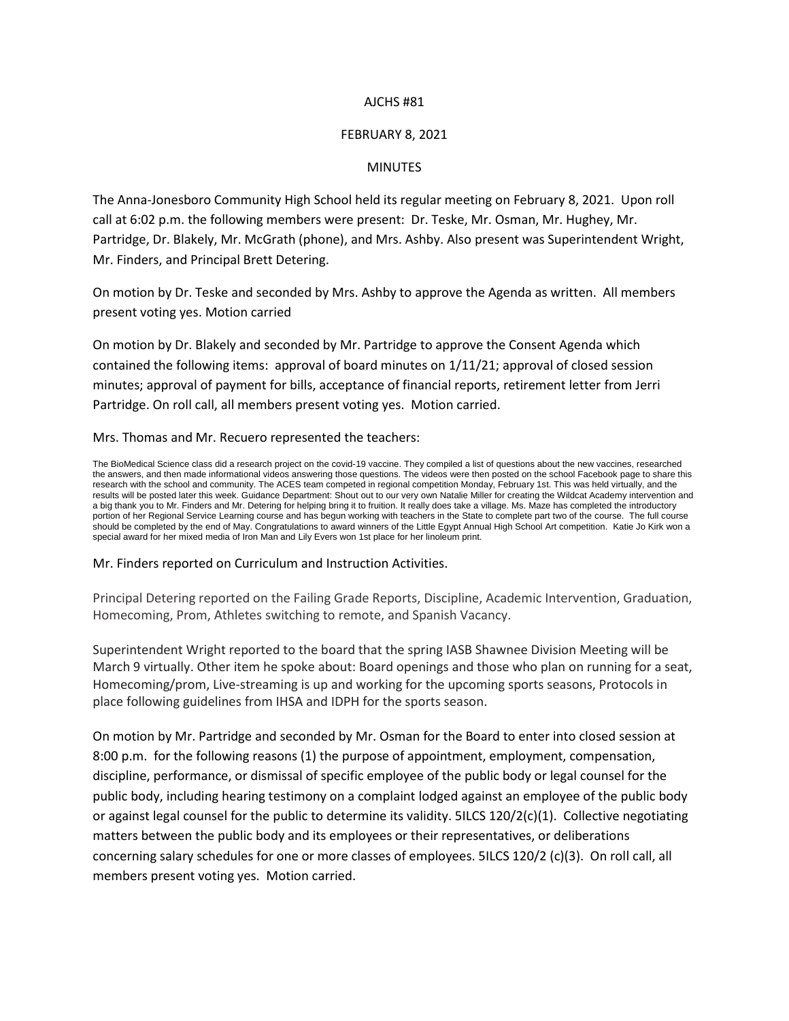# AJCHS #81

# FEBRUARY 8, 2021

# MINUTES

The Anna-Jonesboro Community High School held its regular meeting on February 8, 2021. Upon roll call at 6:02 p.m. the following members were present: Dr. Teske, Mr. Osman, Mr. Hughey, Mr. Partridge, Dr. Blakely, Mr. McGrath (phone), and Mrs. Ashby. Also present was Superintendent Wright, Mr. Finders, and Principal Brett Detering.

On motion by Dr. Teske and seconded by Mrs. Ashby to approve the Agenda as written. All members present voting yes. Motion carried

On motion by Dr. Blakely and seconded by Mr. Partridge to approve the Consent Agenda which contained the following items: approval of board minutes on 1/11/21; approval of closed session minutes; approval of payment for bills, acceptance of financial reports, retirement letter from Jerri Partridge. On roll call, all members present voting yes. Motion carried.

#### Mrs. Thomas and Mr. Recuero represented the teachers:

The BioMedical Science class did a research project on the covid-19 vaccine. They compiled a list of questions about the new vaccines, researched the answers, and then made informational videos answering those questions. The videos were then posted on the school Facebook page to share this research with the school and community. The ACES team competed in regional competition Monday, February 1st. This was held virtually, and the results will be posted later this week. Guidance Department: Shout out to our very own Natalie Miller for creating the Wildcat Academy intervention and a big thank you to Mr. Finders and Mr. Detering for helping bring it to fruition. It really does take a village. Ms. Maze has completed the introductory portion of her Regional Service Learning course and has begun working with teachers in the State to complete part two of the course. The full course should be completed by the end of May. Congratulations to award winners of the Little Egypt Annual High School Art competition. Katie Jo Kirk won a special award for her mixed media of Iron Man and Lily Evers won 1st place for her linoleum print.

### Mr. Finders reported on Curriculum and Instruction Activities.

Principal Detering reported on the Failing Grade Reports, Discipline, Academic Intervention, Graduation, Homecoming, Prom, Athletes switching to remote, and Spanish Vacancy.

Superintendent Wright reported to the board that the spring IASB Shawnee Division Meeting will be March 9 virtually. Other item he spoke about: Board openings and those who plan on running for a seat, Homecoming/prom, Live-streaming is up and working for the upcoming sports seasons, Protocols in place following guidelines from IHSA and IDPH for the sports season.

On motion by Mr. Partridge and seconded by Mr. Osman for the Board to enter into closed session at 8:00 p.m. for the following reasons (1) the purpose of appointment, employment, compensation, discipline, performance, or dismissal of specific employee of the public body or legal counsel for the public body, including hearing testimony on a complaint lodged against an employee of the public body or against legal counsel for the public to determine its validity. 5ILCS 120/2(c)(1). Collective negotiating matters between the public body and its employees or their representatives, or deliberations concerning salary schedules for one or more classes of employees. 5ILCS 120/2 (c)(3). On roll call, all members present voting yes. Motion carried.